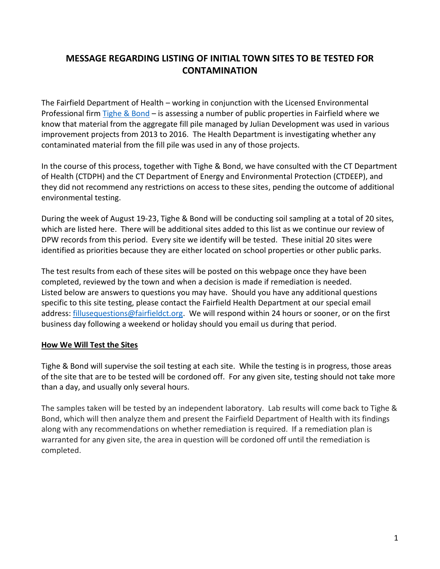# **MESSAGE REGARDING LISTING OF INITIAL TOWN SITES TO BE TESTED FOR CONTAMINATION**

The Fairfield Department of Health – working in conjunction with the Licensed Environmental Professional firm [Tighe & Bond](https://www.tighebond.com/) – is assessing a number of public properties in Fairfield where we know that material from the aggregate fill pile managed by Julian Development was used in various improvement projects from 2013 to 2016. The Health Department is investigating whether any contaminated material from the fill pile was used in any of those projects.

In the course of this process, together with Tighe & Bond, we have consulted with the CT Department of Health (CTDPH) and the CT Department of Energy and Environmental Protection (CTDEEP), and they did not recommend any restrictions on access to these sites, pending the outcome of additional environmental testing.

During the week of August 19-23, Tighe & Bond will be conducting soil sampling at a total of 20 sites, which are listed here. There will be additional sites added to this list as we continue our review of DPW records from this period. Every site we identify will be tested. These initial 20 sites were identified as priorities because they are either located on school properties or other public parks.

The test results from each of these sites will be posted on this webpage once they have been completed, reviewed by the town and when a decision is made if remediation is needed. Listed below are answers to questions you may have. Should you have any additional questions specific to this site testing, please contact the Fairfield Health Department at our special email address: [fillusequestions@fairfieldct.org.](mailto:fillusequestions@fairfieldct.org) We will respond within 24 hours or sooner, or on the first business day following a weekend or holiday should you email us during that period.

# **How We Will Test the Sites**

Tighe & Bond will supervise the soil testing at each site. While the testing is in progress, those areas of the site that are to be tested will be cordoned off. For any given site, testing should not take more than a day, and usually only several hours.

The samples taken will be tested by an independent laboratory. Lab results will come back to Tighe & Bond, which will then analyze them and present the Fairfield Department of Health with its findings along with any recommendations on whether remediation is required. If a remediation plan is warranted for any given site, the area in question will be cordoned off until the remediation is completed.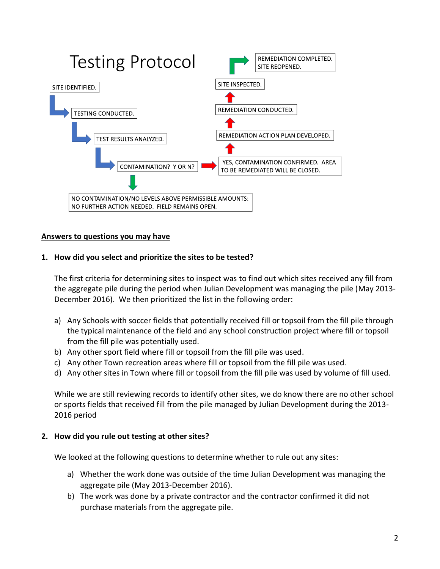

### **Answers to questions you may have**

### **1. How did you select and prioritize the sites to be tested?**

The first criteria for determining sites to inspect was to find out which sites received any fill from the aggregate pile during the period when Julian Development was managing the pile (May 2013- December 2016). We then prioritized the list in the following order:

- a) Any Schools with soccer fields that potentially received fill or topsoil from the fill pile through the typical maintenance of the field and any school construction project where fill or topsoil from the fill pile was potentially used.
- b) Any other sport field where fill or topsoil from the fill pile was used.
- c) Any other Town recreation areas where fill or topsoil from the fill pile was used.
- d) Any other sites in Town where fill or topsoil from the fill pile was used by volume of fill used.

While we are still reviewing records to identify other sites, we do know there are no other school or sports fields that received fill from the pile managed by Julian Development during the 2013- 2016 period

### **2. How did you rule out testing at other sites?**

We looked at the following questions to determine whether to rule out any sites:

- a) Whether the work done was outside of the time Julian Development was managing the aggregate pile (May 2013-December 2016).
- b) The work was done by a private contractor and the contractor confirmed it did not purchase materials from the aggregate pile.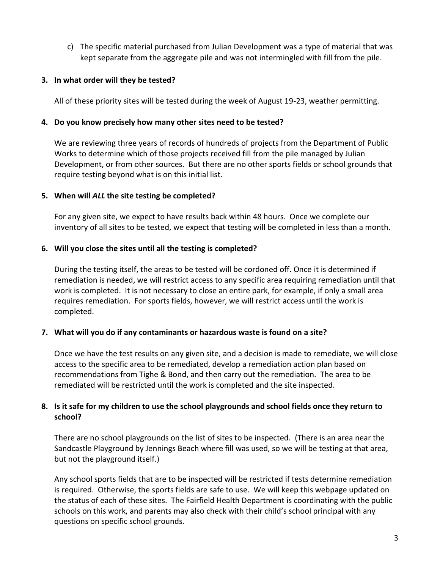c) The specific material purchased from Julian Development was a type of material that was kept separate from the aggregate pile and was not intermingled with fill from the pile.

### **3. In what order will they be tested?**

All of these priority sites will be tested during the week of August 19-23, weather permitting.

### **4. Do you know precisely how many other sites need to be tested?**

We are reviewing three years of records of hundreds of projects from the Department of Public Works to determine which of those projects received fill from the pile managed by Julian Development, or from other sources. But there are no other sports fields or school grounds that require testing beyond what is on this initial list.

### **5. When will** *ALL* **the site testing be completed?**

For any given site, we expect to have results back within 48 hours. Once we complete our inventory of all sites to be tested, we expect that testing will be completed in less than a month.

### **6. Will you close the sites until all the testing is completed?**

During the testing itself, the areas to be tested will be cordoned off. Once it is determined if remediation is needed, we will restrict access to any specific area requiring remediation until that work is completed. It is not necessary to close an entire park, for example, if only a small area requires remediation. For sports fields, however, we will restrict access until the work is completed.

# **7. What will you do if any contaminants or hazardous waste is found on a site?**

Once we have the test results on any given site, and a decision is made to remediate, we will close access to the specific area to be remediated, develop a remediation action plan based on recommendations from Tighe & Bond, and then carry out the remediation. The area to be remediated will be restricted until the work is completed and the site inspected.

# **8. Is it safe for my children to use the school playgrounds and school fields once they return to school?**

There are no school playgrounds on the list of sites to be inspected. (There is an area near the Sandcastle Playground by Jennings Beach where fill was used, so we will be testing at that area, but not the playground itself.)

Any school sports fields that are to be inspected will be restricted if tests determine remediation is required. Otherwise, the sports fields are safe to use. We will keep this webpage updated on the status of each of these sites. The Fairfield Health Department is coordinating with the public schools on this work, and parents may also check with their child's school principal with any questions on specific school grounds.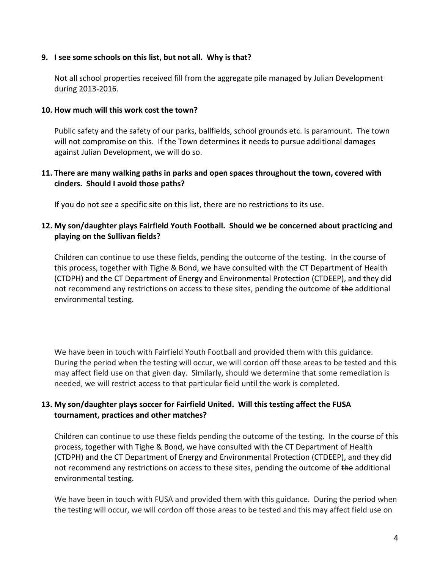### **9. I see some schools on this list, but not all. Why is that?**

Not all school properties received fill from the aggregate pile managed by Julian Development during 2013-2016.

### **10. How much will this work cost the town?**

Public safety and the safety of our parks, ballfields, school grounds etc. is paramount. The town will not compromise on this. If the Town determines it needs to pursue additional damages against Julian Development, we will do so.

# **11. There are many walking paths in parks and open spaces throughout the town, covered with cinders. Should I avoid those paths?**

If you do not see a specific site on this list, there are no restrictions to its use.

# **12. My son/daughter plays Fairfield Youth Football. Should we be concerned about practicing and playing on the Sullivan fields?**

Children can continue to use these fields, pending the outcome of the testing. In the course of this process, together with Tighe & Bond, we have consulted with the CT Department of Health (CTDPH) and the CT Department of Energy and Environmental Protection (CTDEEP), and they did not recommend any restrictions on access to these sites, pending the outcome of the additional environmental testing.

We have been in touch with Fairfield Youth Football and provided them with this guidance. During the period when the testing will occur, we will cordon off those areas to be tested and this may affect field use on that given day. Similarly, should we determine that some remediation is needed, we will restrict access to that particular field until the work is completed.

# **13. My son/daughter plays soccer for Fairfield United. Will this testing affect the FUSA tournament, practices and other matches?**

Children can continue to use these fields pending the outcome of the testing. In the course of this process, together with Tighe & Bond, we have consulted with the CT Department of Health (CTDPH) and the CT Department of Energy and Environmental Protection (CTDEEP), and they did not recommend any restrictions on access to these sites, pending the outcome of the additional environmental testing.

We have been in touch with FUSA and provided them with this guidance. During the period when the testing will occur, we will cordon off those areas to be tested and this may affect field use on